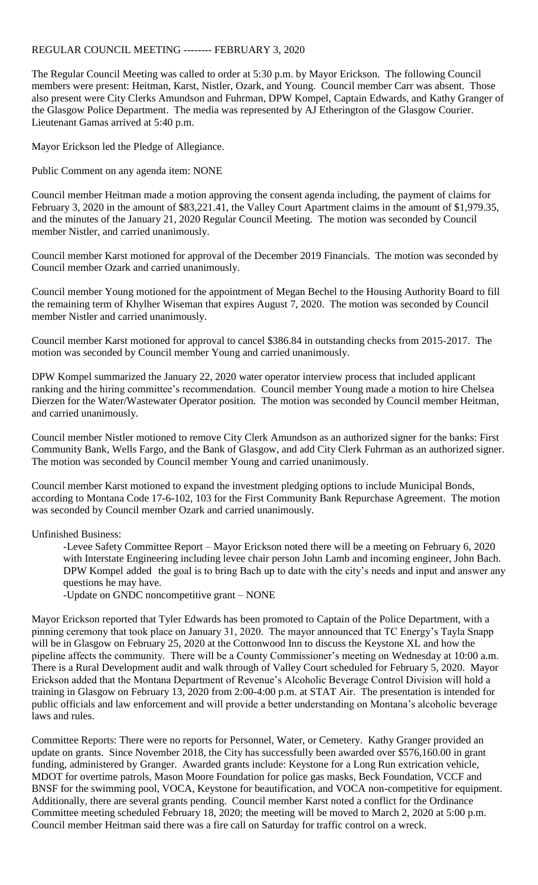## REGULAR COUNCIL MEETING -------- FEBRUARY 3, 2020

The Regular Council Meeting was called to order at 5:30 p.m. by Mayor Erickson. The following Council members were present: Heitman, Karst, Nistler, Ozark, and Young. Council member Carr was absent. Those also present were City Clerks Amundson and Fuhrman, DPW Kompel, Captain Edwards, and Kathy Granger of the Glasgow Police Department. The media was represented by AJ Etherington of the Glasgow Courier. Lieutenant Gamas arrived at 5:40 p.m.

Mayor Erickson led the Pledge of Allegiance.

Public Comment on any agenda item: NONE

Council member Heitman made a motion approving the consent agenda including, the payment of claims for February 3, 2020 in the amount of \$83,221.41, the Valley Court Apartment claims in the amount of \$1,979.35, and the minutes of the January 21, 2020 Regular Council Meeting. The motion was seconded by Council member Nistler, and carried unanimously.

Council member Karst motioned for approval of the December 2019 Financials. The motion was seconded by Council member Ozark and carried unanimously.

Council member Young motioned for the appointment of Megan Bechel to the Housing Authority Board to fill the remaining term of Khylher Wiseman that expires August 7, 2020. The motion was seconded by Council member Nistler and carried unanimously.

Council member Karst motioned for approval to cancel \$386.84 in outstanding checks from 2015-2017. The motion was seconded by Council member Young and carried unanimously.

DPW Kompel summarized the January 22, 2020 water operator interview process that included applicant ranking and the hiring committee's recommendation. Council member Young made a motion to hire Chelsea Dierzen for the Water/Wastewater Operator position. The motion was seconded by Council member Heitman, and carried unanimously.

Council member Nistler motioned to remove City Clerk Amundson as an authorized signer for the banks: First Community Bank, Wells Fargo, and the Bank of Glasgow, and add City Clerk Fuhrman as an authorized signer. The motion was seconded by Council member Young and carried unanimously.

Council member Karst motioned to expand the investment pledging options to include Municipal Bonds, according to Montana Code 17-6-102, 103 for the First Community Bank Repurchase Agreement. The motion was seconded by Council member Ozark and carried unanimously.

## Unfinished Business:

-Levee Safety Committee Report – Mayor Erickson noted there will be a meeting on February 6, 2020 with Interstate Engineering including levee chair person John Lamb and incoming engineer, John Bach. DPW Kompel added the goal is to bring Bach up to date with the city's needs and input and answer any questions he may have.

-Update on GNDC noncompetitive grant – NONE

Mayor Erickson reported that Tyler Edwards has been promoted to Captain of the Police Department, with a pinning ceremony that took place on January 31, 2020. The mayor announced that TC Energy's Tayla Snapp will be in Glasgow on February 25, 2020 at the Cottonwood Inn to discuss the Keystone XL and how the pipeline affects the community. There will be a County Commissioner's meeting on Wednesday at 10:00 a.m. There is a Rural Development audit and walk through of Valley Court scheduled for February 5, 2020. Mayor Erickson added that the Montana Department of Revenue's Alcoholic Beverage Control Division will hold a training in Glasgow on February 13, 2020 from 2:00-4:00 p.m. at STAT Air. The presentation is intended for public officials and law enforcement and will provide a better understanding on Montana's alcoholic beverage laws and rules.

Committee Reports: There were no reports for Personnel, Water, or Cemetery. Kathy Granger provided an update on grants. Since November 2018, the City has successfully been awarded over \$576,160.00 in grant funding, administered by Granger. Awarded grants include: Keystone for a Long Run extrication vehicle, MDOT for overtime patrols, Mason Moore Foundation for police gas masks, Beck Foundation, VCCF and BNSF for the swimming pool, VOCA, Keystone for beautification, and VOCA non-competitive for equipment. Additionally, there are several grants pending. Council member Karst noted a conflict for the Ordinance Committee meeting scheduled February 18, 2020; the meeting will be moved to March 2, 2020 at 5:00 p.m. Council member Heitman said there was a fire call on Saturday for traffic control on a wreck.